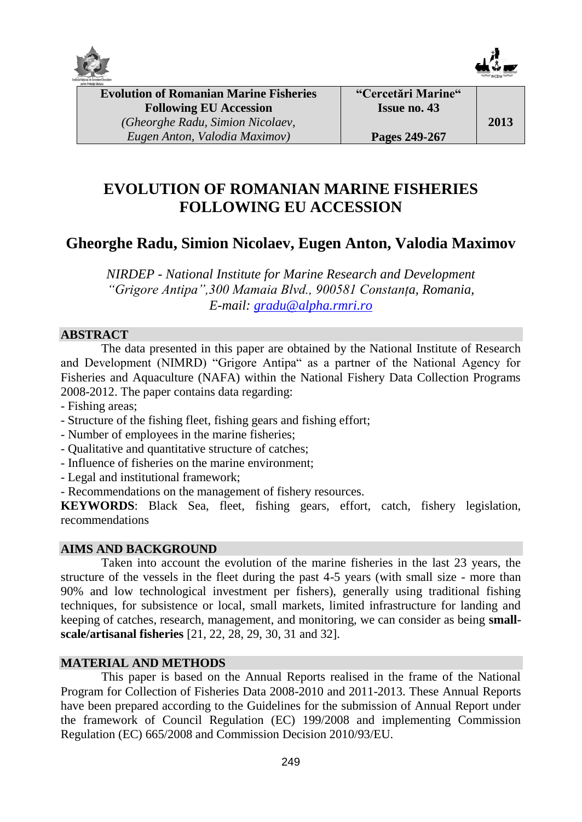



**Evolution of Romanian Marine Fisheries Following EU Accession** *(Gheorghe Radu, Simion Nicolaev, Eugen Anton, Valodia Maximov)*

# **EVOLUTION OF ROMANIAN MARINE FISHERIES FOLLOWING EU ACCESSION**

# **Gheorghe Radu, Simion Nicolaev, Eugen Anton, Valodia Maximov**

*NIRDEP - National Institute for Marine Research and Development "Grigore Antipa",300 Mamaia Blvd., 900581 Constanța, Romania, E-mail: [gradu@alpha.rmri.ro](mailto:gradu@alpha.rmri.ro)*

# **ABSTRACT**

The data presented in this paper are obtained by the National Institute of Research and Development (NIMRD) "Grigore Antipa" as a partner of the National Agency for Fisheries and Aquaculture (NAFA) within the National Fishery Data Collection Programs 2008-2012. The paper contains data regarding:

- Fishing areas;
- Structure of the fishing fleet, fishing gears and fishing effort;
- Number of employees in the marine fisheries;
- Qualitative and quantitative structure of catches;
- Influence of fisheries on the marine environment;
- Legal and institutional framework;
- Recommendations on the management of fishery resources.

**KEYWORDS**: Black Sea, fleet, fishing gears, effort, catch, fishery legislation, recommendations

# **AIMS AND BACKGROUND**

Taken into account the evolution of the marine fisheries in the last 23 years, the structure of the vessels in the fleet during the past 4-5 years (with small size - more than 90% and low technological investment per fishers), generally using traditional fishing techniques, for subsistence or local, small markets, limited infrastructure for landing and keeping of catches, research, management, and monitoring, we can consider as being **smallscale/artisanal fisheries** [21, 22, 28, 29, 30, 31 and 32].

# **MATERIAL AND METHODS**

This paper is based on the Annual Reports realised in the frame of the National Program for Collection of Fisheries Data 2008-2010 and 2011-2013. These Annual Reports have been prepared according to the Guidelines for the submission of Annual Report under the framework of Council Regulation (EC) 199/2008 and implementing Commission Regulation (EC) 665/2008 and Commission Decision 2010/93/EU.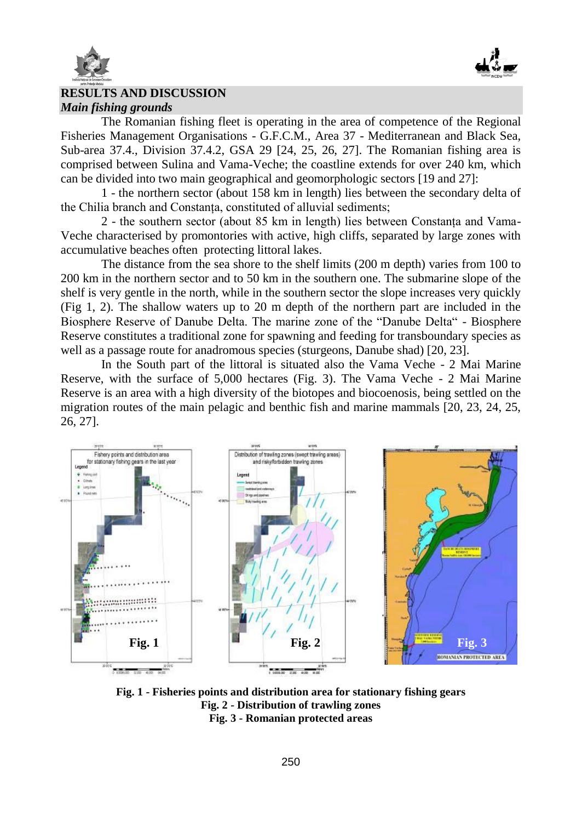



### $\overline{a}$ **RESULTS AND DISCUSSION** *Main fishing grounds*

The Romanian fishing fleet is operating in the area of competence of the Regional Fisheries Management Organisations - G.F.C.M., Area 37 - Mediterranean and Black Sea, Sub-area 37.4., Division 37.4.2, GSA 29 [24, 25, 26, 27]. The Romanian fishing area is comprised between Sulina and Vama-Veche; the coastline extends for over 240 km, which can be divided into two main geographical and geomorphologic sectors [19 and 27]:

1 - the northern sector (about 158 km in length) lies between the secondary delta of the Chilia branch and Constanța, constituted of alluvial sediments;

2 - the southern sector (about 85 km in length) lies between Constanța and Vama-Veche characterised by promontories with active, high cliffs, separated by large zones with accumulative beaches often protecting littoral lakes.

The distance from the sea shore to the shelf limits (200 m depth) varies from 100 to 200 km in the northern sector and to 50 km in the southern one. The submarine slope of the shelf is very gentle in the north, while in the southern sector the slope increases very quickly (Fig 1, 2). The shallow waters up to 20 m depth of the northern part are included in the Biosphere Reserve of Danube Delta. The marine zone of the "Danube Delta" - Biosphere Reserve constitutes a traditional zone for spawning and feeding for transboundary species as well as a passage route for anadromous species (sturgeons, Danube shad) [20, 23].

In the South part of the littoral is situated also the Vama Veche - 2 Mai Marine Reserve, with the surface of 5,000 hectares (Fig. 3). The Vama Veche - 2 Mai Marine Reserve is an area with a high diversity of the biotopes and biocoenosis, being settled on the migration routes of the main pelagic and benthic fish and marine mammals [20, 23, 24, 25, 26, 27].



**Fig. 1 - Fisheries points and distribution area for stationary fishing gears Fig. 2 - Distribution of trawling zones Fig. 3 - Romanian protected areas**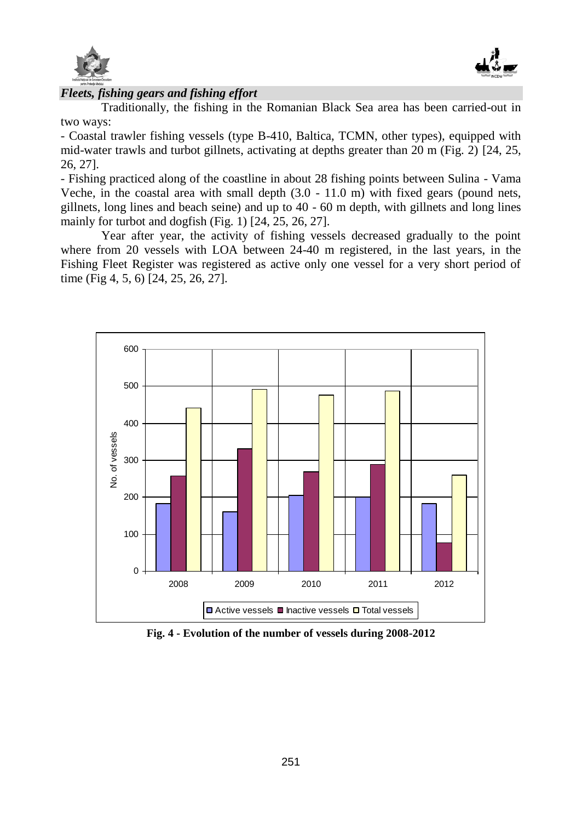



### $\overline{a}$ *Fleets, fishing gears and fishing effort*

Traditionally, the fishing in the Romanian Black Sea area has been carried-out in two ways:

- Coastal trawler fishing vessels (type B-410, Baltica, TCMN, other types), equipped with mid-water trawls and turbot gillnets, activating at depths greater than 20 m (Fig. 2) [24, 25, 26, 27].

- Fishing practiced along of the coastline in about 28 fishing points between Sulina - Vama Veche, in the coastal area with small depth  $(3.0 - 11.0 \text{ m})$  with fixed gears (pound nets, gillnets, long lines and beach seine) and up to 40 - 60 m depth, with gillnets and long lines mainly for turbot and dogfish (Fig. 1) [24, 25, 26, 27].

Year after year, the activity of fishing vessels decreased gradually to the point where from 20 vessels with LOA between 24-40 m registered, in the last years, in the Fishing Fleet Register was registered as active only one vessel for a very short period of time (Fig 4, 5, 6) [24, 25, 26, 27].



**Fig. 4 - Evolution of the number of vessels during 2008-2012**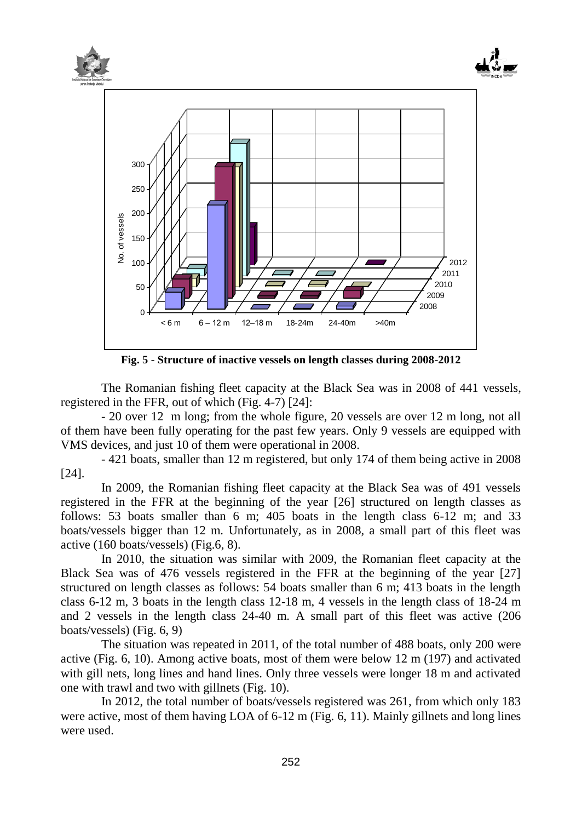

**Fig. 5 - Structure of inactive vessels on length classes during 2008-2012**

The Romanian fishing fleet capacity at the Black Sea was in 2008 of 441 vessels, registered in the FFR, out of which (Fig. 4-7) [24]:

- 20 over 12 m long; from the whole figure, 20 vessels are over 12 m long, not all of them have been fully operating for the past few years. Only 9 vessels are equipped with VMS devices, and just 10 of them were operational in 2008.

- 421 boats, smaller than 12 m registered, but only 174 of them being active in 2008 [24].

In 2009, the Romanian fishing fleet capacity at the Black Sea was of 491 vessels registered in the FFR at the beginning of the year [26] structured on length classes as follows: 53 boats smaller than 6 m; 405 boats in the length class 6-12 m; and 33 boats/vessels bigger than 12 m. Unfortunately, as in 2008, a small part of this fleet was active (160 boats/vessels) (Fig.6, 8).

In 2010, the situation was similar with 2009, the Romanian fleet capacity at the Black Sea was of 476 vessels registered in the FFR at the beginning of the year [27] structured on length classes as follows: 54 boats smaller than 6 m; 413 boats in the length class 6-12 m, 3 boats in the length class 12-18 m, 4 vessels in the length class of 18-24 m and 2 vessels in the length class 24-40 m. A small part of this fleet was active (206 boats/vessels) (Fig. 6, 9)

The situation was repeated in 2011, of the total number of 488 boats, only 200 were active (Fig. 6, 10). Among active boats, most of them were below 12 m (197) and activated with gill nets, long lines and hand lines. Only three vessels were longer 18 m and activated one with trawl and two with gillnets (Fig. 10).

In 2012, the total number of boats/vessels registered was 261, from which only 183 were active, most of them having LOA of 6-12 m (Fig. 6, 11). Mainly gillnets and long lines were used.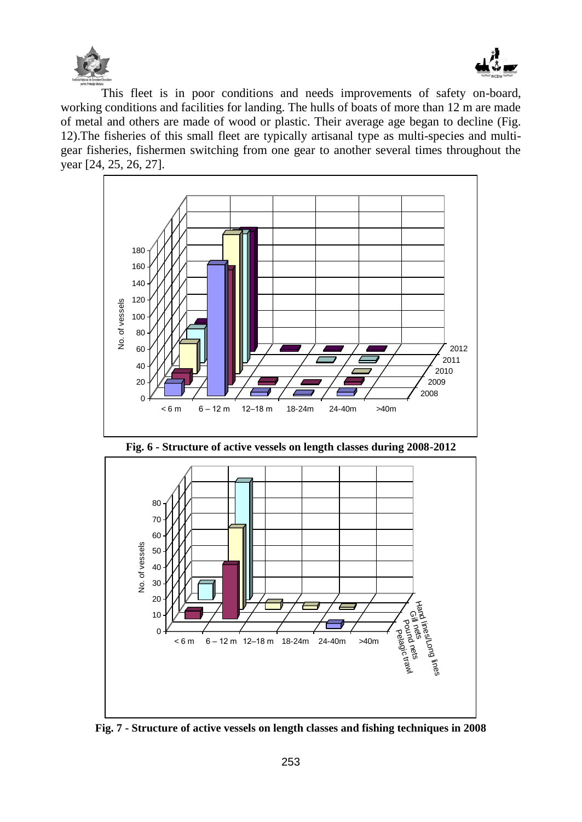



This fleet is in poor conditions and needs improvements of safety on-board, working conditions and facilities for landing. The hulls of boats of more than 12 m are made of metal and others are made of wood or plastic. Their average age began to decline (Fig. 12).The fisheries of this small fleet are typically artisanal type as multi-species and multigear fisheries, fishermen switching from one gear to another several times throughout the year [24, 25, 26, 27].



**Fig. 6 - Structure of active vessels on length classes during 2008-2012**



**Fig. 7 - Structure of active vessels on length classes and fishing techniques in 2008**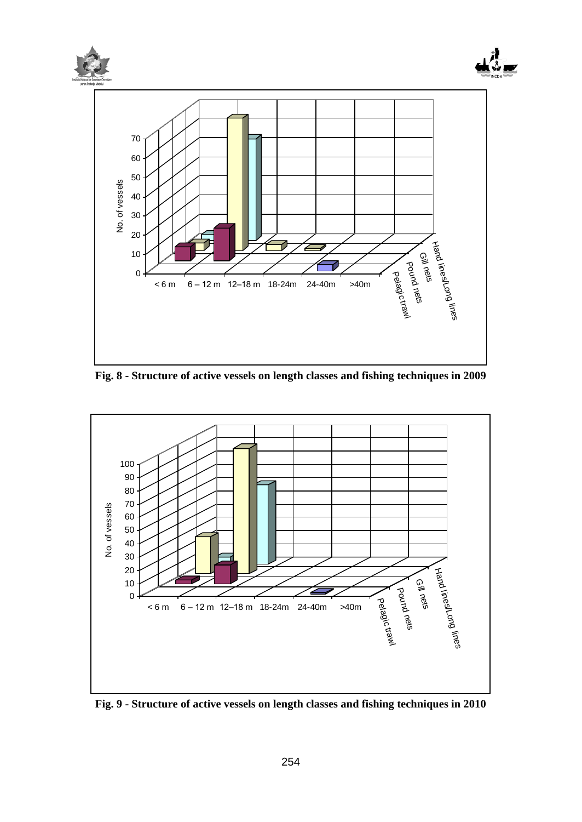

**Fig. 8 - Structure of active vessels on length classes and fishing techniques in 2009**



**Fig. 9 - Structure of active vessels on length classes and fishing techniques in 2010**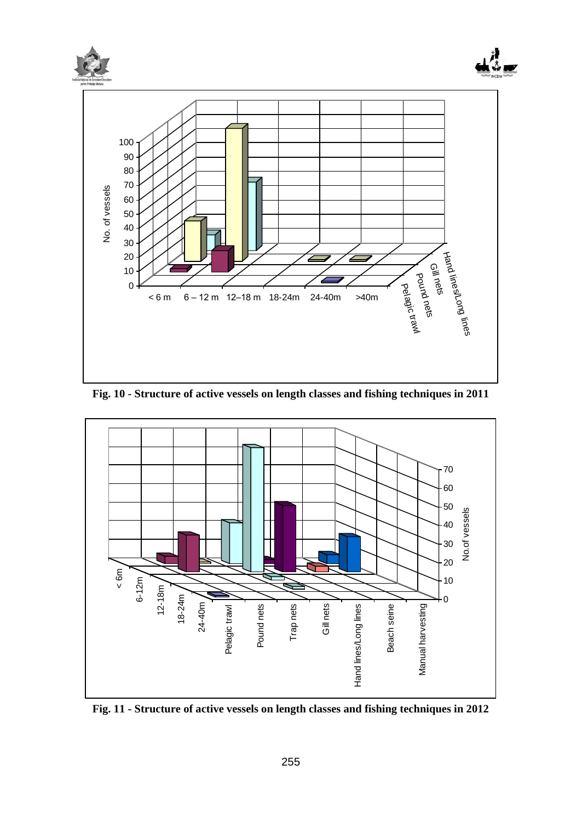

**Fig. 10 - Structure of active vessels on length classes and fishing techniques in 2011**



**Fig. 11 - Structure of active vessels on length classes and fishing techniques in 2012**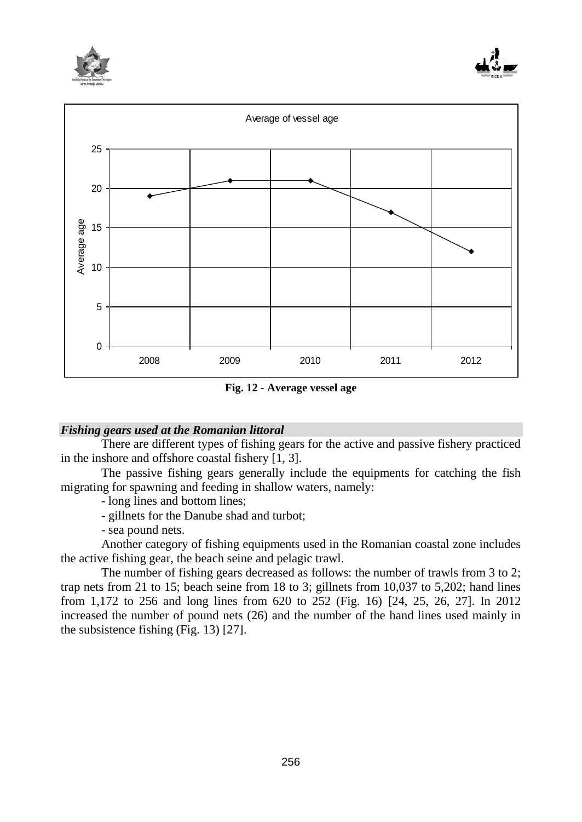





**Fig. 12 - Average vessel age**

### *Fishing gears used at the Romanian littoral*

There are different types of fishing gears for the active and passive fishery practiced in the inshore and offshore coastal fishery [1, 3].

The passive fishing gears generally include the equipments for catching the fish migrating for spawning and feeding in shallow waters, namely:

- long lines and bottom lines;

- gillnets for the Danube shad and turbot;

- sea pound nets.

Another category of fishing equipments used in the Romanian coastal zone includes the active fishing gear, the beach seine and pelagic trawl.

The number of fishing gears decreased as follows: the number of trawls from 3 to 2; trap nets from 21 to 15; beach seine from 18 to 3; gillnets from 10,037 to 5,202; hand lines from 1,172 to 256 and long lines from 620 to 252 (Fig. 16) [24, 25, 26, 27]. In 2012 increased the number of pound nets (26) and the number of the hand lines used mainly in the subsistence fishing (Fig. 13) [27].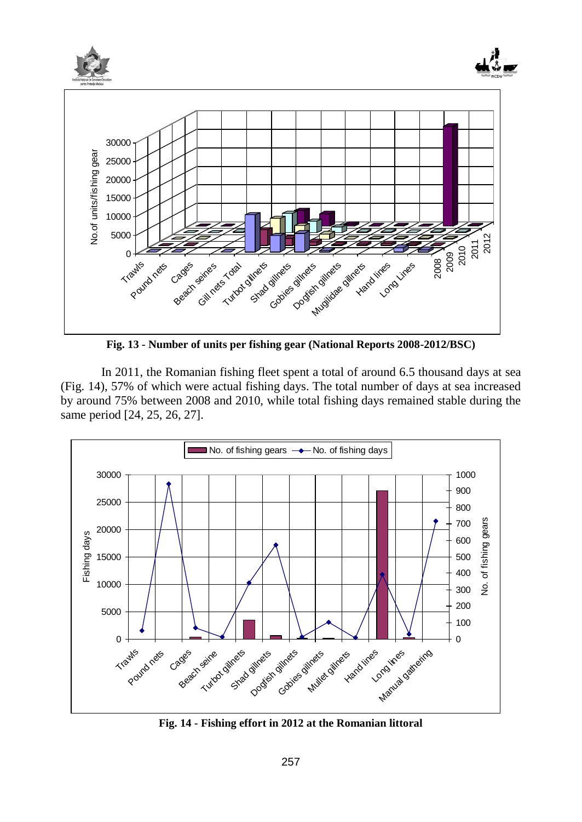

**Fig. 13 - Number of units per fishing gear (National Reports 2008-2012/BSC)**

In 2011, the Romanian fishing fleet spent a total of around 6.5 thousand days at sea (Fig. 14), 57% of which were actual fishing days. The total number of days at sea increased by around 75% between 2008 and 2010, while total fishing days remained stable during the same period [24, 25, 26, 27].



**Fig. 14 - Fishing effort in 2012 at the Romanian littoral**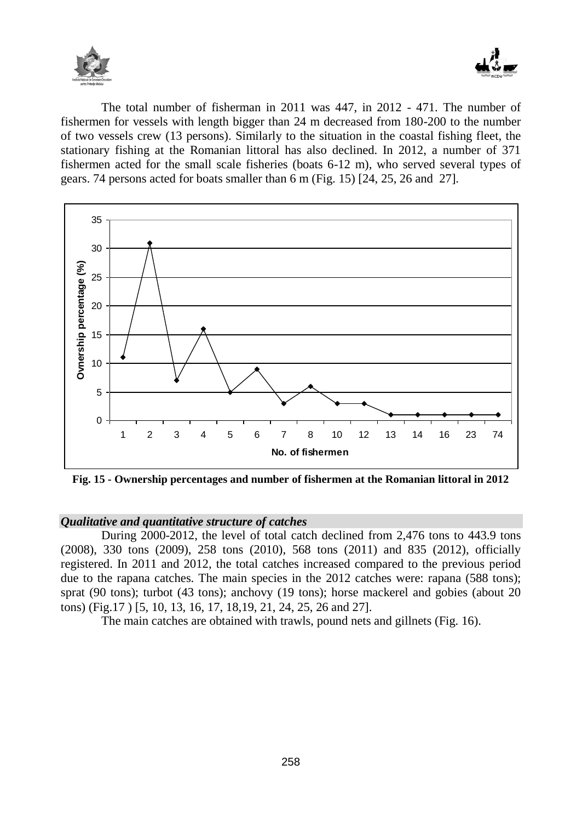



The total number of fisherman in 2011 was 447, in 2012 - 471. The number of fishermen for vessels with length bigger than 24 m decreased from 180-200 to the number of two vessels crew (13 persons). Similarly to the situation in the coastal fishing fleet, the stationary fishing at the Romanian littoral has also declined. In 2012, a number of 371 fishermen acted for the small scale fisheries (boats 6-12 m), who served several types of gears. 74 persons acted for boats smaller than 6 m (Fig. 15) [24, 25, 26 and 27].



**Fig. 15 - Ownership percentages and number of fishermen at the Romanian littoral in 2012**

# *Qualitative and quantitative structure of catches*

During 2000-2012, the level of total catch declined from 2,476 tons to 443.9 tons (2008), 330 tons (2009), 258 tons (2010), 568 tons (2011) and 835 (2012), officially registered. In 2011 and 2012, the total catches increased compared to the previous period due to the rapana catches. The main species in the 2012 catches were: rapana (588 tons); sprat (90 tons); turbot (43 tons); anchovy (19 tons); horse mackerel and gobies (about 20 tons) (Fig.17 ) [5, 10, 13, 16, 17, 18,19, 21, 24, 25, 26 and 27].

The main catches are obtained with trawls, pound nets and gillnets (Fig. 16).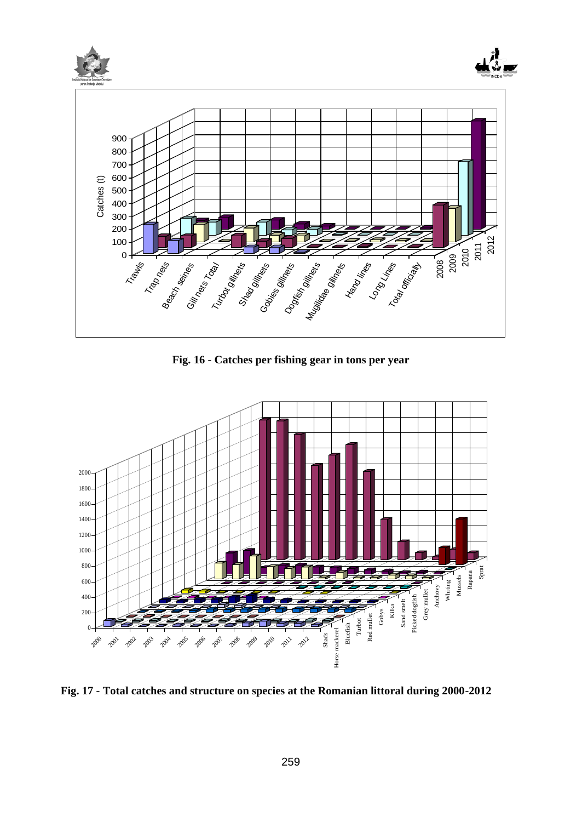

**Fig. 16 - Catches per fishing gear in tons per year**



**Fig. 17 - Total catches and structure on species at the Romanian littoral during 2000-2012**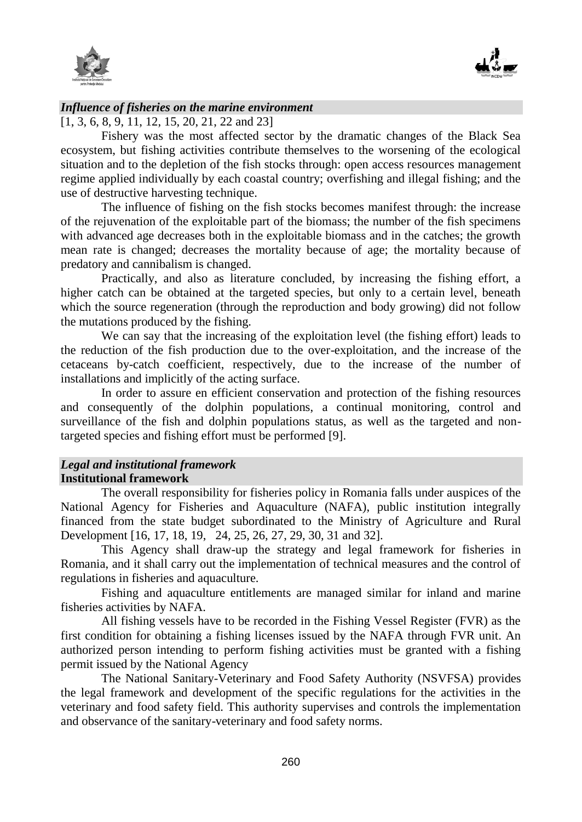



### *Influence of fisheries on the marine environment*

[1, 3, 6, 8, 9, 11, 12, 15, 20, 21, 22 and 23]

Fishery was the most affected sector by the dramatic changes of the Black Sea ecosystem, but fishing activities contribute themselves to the worsening of the ecological situation and to the depletion of the fish stocks through: open access resources management regime applied individually by each coastal country; overfishing and illegal fishing; and the use of destructive harvesting technique.

The influence of fishing on the fish stocks becomes manifest through: the increase of the rejuvenation of the exploitable part of the biomass; the number of the fish specimens with advanced age decreases both in the exploitable biomass and in the catches; the growth mean rate is changed; decreases the mortality because of age; the mortality because of predatory and cannibalism is changed.

Practically, and also as literature concluded, by increasing the fishing effort, a higher catch can be obtained at the targeted species, but only to a certain level, beneath which the source regeneration (through the reproduction and body growing) did not follow the mutations produced by the fishing.

We can say that the increasing of the exploitation level (the fishing effort) leads to the reduction of the fish production due to the over-exploitation, and the increase of the cetaceans by-catch coefficient, respectively, due to the increase of the number of installations and implicitly of the acting surface.

In order to assure en efficient conservation and protection of the fishing resources and consequently of the dolphin populations, a continual monitoring, control and surveillance of the fish and dolphin populations status, as well as the targeted and nontargeted species and fishing effort must be performed [9].

# *Legal and institutional framework*  **Institutional framework**

The overall responsibility for fisheries policy in Romania falls under auspices of the National Agency for Fisheries and Aquaculture (NAFA), public institution integrally financed from the state budget subordinated to the Ministry of Agriculture and Rural Development [16, 17, 18, 19, 24, 25, 26, 27, 29, 30, 31 and 32].

This Agency shall draw-up the strategy and legal framework for fisheries in Romania, and it shall carry out the implementation of technical measures and the control of regulations in fisheries and aquaculture.

Fishing and aquaculture entitlements are managed similar for inland and marine fisheries activities by NAFA.

All fishing vessels have to be recorded in the Fishing Vessel Register (FVR) as the first condition for obtaining a fishing licenses issued by the NAFA through FVR unit. An authorized person intending to perform fishing activities must be granted with a fishing permit issued by the National Agency

The National Sanitary-Veterinary and Food Safety Authority (NSVFSA) provides the legal framework and development of the specific regulations for the activities in the veterinary and food safety field. This authority supervises and controls the implementation and observance of the sanitary-veterinary and food safety norms.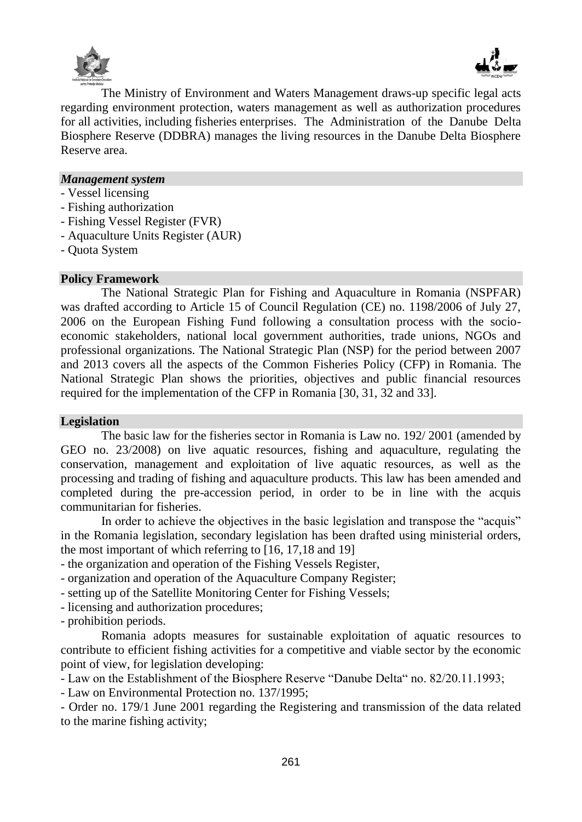



The Ministry of Environment and Waters Management draws-up specific legal acts regarding environment protection, waters management as well as authorization procedures for all activities, including fisheries enterprises. The Administration of the Danube Delta Biosphere Reserve (DDBRA) manages the living resources in the Danube Delta Biosphere Reserve area.

### *Management system*

- Vessel licensing
- Fishing authorization
- Fishing Vessel Register (FVR)
- Aquaculture Units Register (AUR)
- Quota System

#### **Policy Framework**

The National Strategic Plan for Fishing and Aquaculture in Romania (NSPFAR) was drafted according to Article 15 of Council Regulation (CE) no. 1198/2006 of July 27, 2006 on the European Fishing Fund following a consultation process with the socioeconomic stakeholders, national local government authorities, trade unions, NGOs and professional organizations. The National Strategic Plan (NSP) for the period between 2007 and 2013 covers all the aspects of the Common Fisheries Policy (CFP) in Romania. The National Strategic Plan shows the priorities, objectives and public financial resources required for the implementation of the CFP in Romania [30, 31, 32 and 33].

#### **Legislation**

The basic law for the fisheries sector in Romania is Law no. 192/ 2001 (amended by GEO no. 23/2008) on live aquatic resources, fishing and aquaculture, regulating the conservation, management and exploitation of live aquatic resources, as well as the processing and trading of fishing and aquaculture products. This law has been amended and completed during the pre-accession period, in order to be in line with the acquis communitarian for fisheries.

In order to achieve the objectives in the basic legislation and transpose the "acquis" in the Romania legislation, secondary legislation has been drafted using ministerial orders, the most important of which referring to [16, 17,18 and 19]

- the organization and operation of the Fishing Vessels Register,
- organization and operation of the Aquaculture Company Register;
- setting up of the Satellite Monitoring Center for Fishing Vessels;
- licensing and authorization procedures;

- prohibition periods.

Romania adopts measures for sustainable exploitation of aquatic resources to contribute to efficient fishing activities for a competitive and viable sector by the economic point of view, for legislation developing:

- Law on the Establishment of the Biosphere Reserve "Danube Delta" no. 82/20.11.1993;

- Law on Environmental Protection no. 137/1995;

- Order no. 179/1 June 2001 regarding the Registering and transmission of the data related to the marine fishing activity;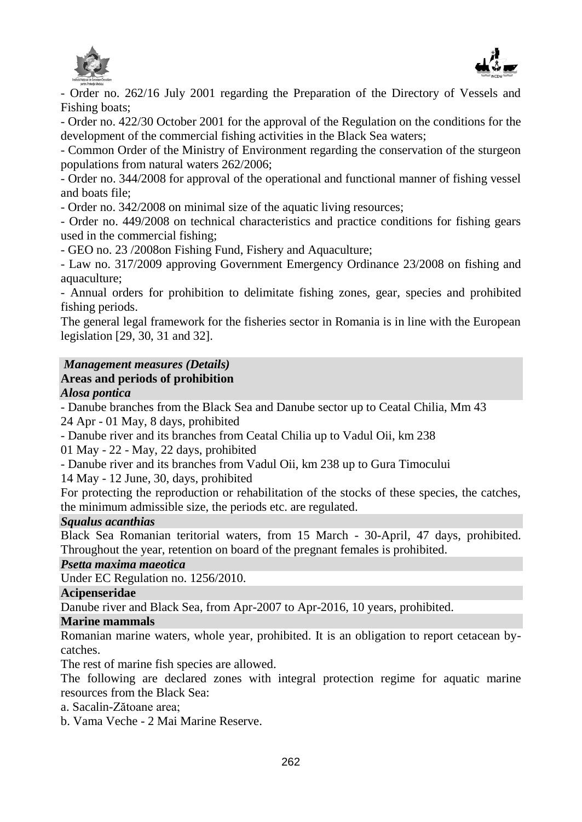



- Order no. 262/16 July 2001 regarding the Preparation of the Directory of Vessels and Fishing boats;

- Order no. 422/30 October 2001 for the approval of the Regulation on the conditions for the development of the commercial fishing activities in the Black Sea waters;

- Common Order of the Ministry of Environment regarding the conservation of the sturgeon populations from natural waters 262/2006;

- Order no. 344/2008 for approval of the operational and functional manner of fishing vessel and boats file;

- Order no. 342/2008 on minimal size of the aquatic living resources;

- Order no. 449/2008 on technical characteristics and practice conditions for fishing gears used in the commercial fishing;

- GEO no. 23 /2008on Fishing Fund, Fishery and Aquaculture;

- Law no. 317/2009 approving Government Emergency Ordinance 23/2008 on fishing and aquaculture;

- Annual orders for prohibition to delimitate fishing zones, gear, species and prohibited fishing periods.

The general legal framework for the fisheries sector in Romania is in line with the European legislation [29, 30, 31 and 32].

# *Management measures (Details)*

# **Areas and periods of prohibition**

# *Alosa pontica*

- Danube branches from the Black Sea and Danube sector up to Ceatal Chilia, Mm 43 24 Apr - 01 May, 8 days, prohibited

- Danube river and its branches from Ceatal Chilia up to Vadul Oii, km 238

01 May - 22 - May, 22 days, prohibited

- Danube river and its branches from Vadul Oii, km 238 up to Gura Timocului

14 May - 12 June, 30, days, prohibited

For protecting the reproduction or rehabilitation of the stocks of these species, the catches, the minimum admissible size, the periods etc. are regulated.

# *Squalus acanthias*

Black Sea Romanian teritorial waters, from 15 March - 30-April, 47 days, prohibited. Throughout the year, retention on board of the pregnant females is prohibited.

*Psetta maxima maeotica*

Under EC Regulation no. 1256/2010.

### **Acipenseridae**

Danube river and Black Sea, from Apr-2007 to Apr-2016, 10 years, prohibited.

# **Marine mammals**

Romanian marine waters, whole year, prohibited. It is an obligation to report cetacean bycatches.

The rest of marine fish species are allowed.

The following are declared zones with integral protection regime for aquatic marine resources from the Black Sea:

a. Sacalin-Zătoane area;

b. Vama Veche - 2 Mai Marine Reserve.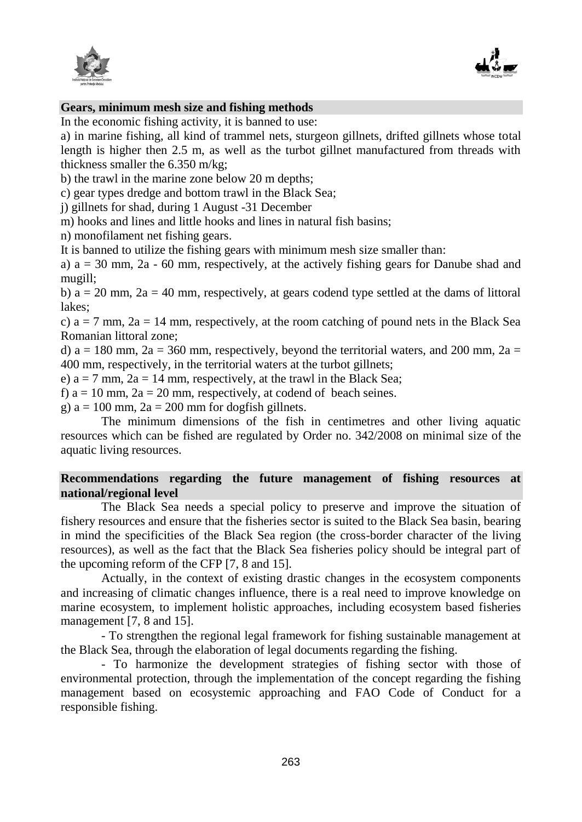



### **Gears, minimum mesh size and fishing methods**

In the economic fishing activity, it is banned to use:

a) in marine fishing, all kind of trammel nets, sturgeon gillnets, drifted gillnets whose total length is higher then 2.5 m, as well as the turbot gillnet manufactured from threads with thickness smaller the 6.350 m/kg;

b) the trawl in the marine zone below 20 m depths;

c) gear types dredge and bottom trawl in the Black Sea;

j) gillnets for shad, during 1 August -31 December

m) hooks and lines and little hooks and lines in natural fish basins;

n) monofilament net fishing gears.

It is banned to utilize the fishing gears with minimum mesh size smaller than:

a)  $a = 30$  mm,  $2a - 60$  mm, respectively, at the actively fishing gears for Danube shad and mugill;

b)  $a = 20$  mm,  $2a = 40$  mm, respectively, at gears codend type settled at the dams of littoral lakes;

c)  $a = 7$  mm,  $2a = 14$  mm, respectively, at the room catching of pound nets in the Black Sea Romanian littoral zone;

d)  $a = 180$  mm,  $2a = 360$  mm, respectively, beyond the territorial waters, and 200 mm,  $2a =$ 400 mm, respectively, in the territorial waters at the turbot gillnets;

e)  $a = 7$  mm,  $2a = 14$  mm, respectively, at the trawl in the Black Sea;

f)  $a = 10$  mm,  $2a = 20$  mm, respectively, at codend of beach seines.

g)  $a = 100$  mm,  $2a = 200$  mm for dogfish gillnets.

The minimum dimensions of the fish in centimetres and other living aquatic resources which can be fished are regulated by Order no. 342/2008 on minimal size of the aquatic living resources.

# **Recommendations regarding the future management of fishing resources at national/regional level**

The Black Sea needs a special policy to preserve and improve the situation of fishery resources and ensure that the fisheries sector is suited to the Black Sea basin, bearing in mind the specificities of the Black Sea region (the cross-border character of the living resources), as well as the fact that the Black Sea fisheries policy should be integral part of the upcoming reform of the CFP [7, 8 and 15].

Actually, in the context of existing drastic changes in the ecosystem components and increasing of climatic changes influence, there is a real need to improve knowledge on marine ecosystem, to implement holistic approaches, including ecosystem based fisheries management [7, 8 and 15].

- To strengthen the regional legal framework for fishing sustainable management at the Black Sea, through the elaboration of legal documents regarding the fishing.

- To harmonize the development strategies of fishing sector with those of environmental protection, through the implementation of the concept regarding the fishing management based on ecosystemic approaching and FAO Code of Conduct for a responsible fishing.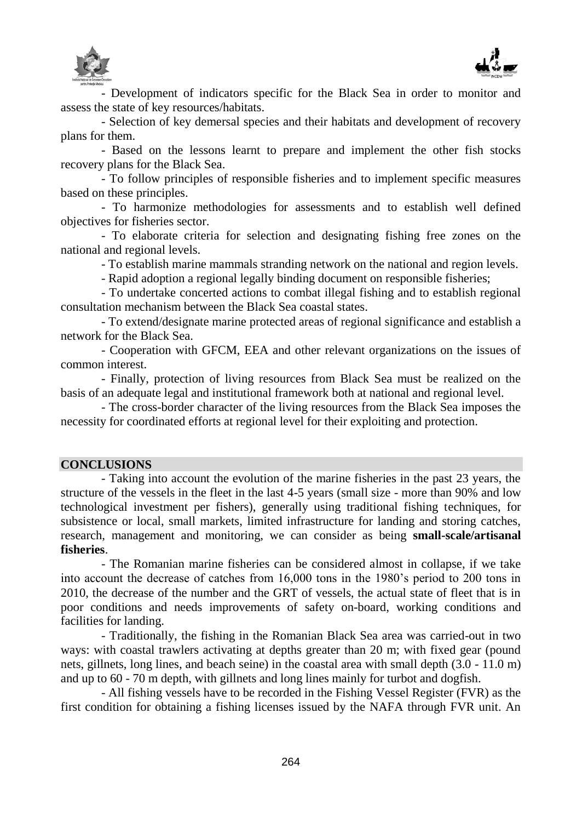



- Development of indicators specific for the Black Sea in order to monitor and assess the state of key resources/habitats.

- Selection of key demersal species and their habitats and development of recovery plans for them.

- Based on the lessons learnt to prepare and implement the other fish stocks recovery plans for the Black Sea.

- To follow principles of responsible fisheries and to implement specific measures based on these principles.

- To harmonize methodologies for assessments and to establish well defined objectives for fisheries sector.

- To elaborate criteria for selection and designating fishing free zones on the national and regional levels.

- To establish marine mammals stranding network on the national and region levels.

- Rapid adoption a regional legally binding document on responsible fisheries;

- To undertake concerted actions to combat illegal fishing and to establish regional consultation mechanism between the Black Sea coastal states.

- To extend/designate marine protected areas of regional significance and establish a network for the Black Sea.

- Cooperation with GFCM, EEA and other relevant organizations on the issues of common interest.

- Finally, protection of living resources from Black Sea must be realized on the basis of an adequate legal and institutional framework both at national and regional level.

- The cross-border character of the living resources from the Black Sea imposes the necessity for coordinated efforts at regional level for their exploiting and protection.

### **CONCLUSIONS**

- Taking into account the evolution of the marine fisheries in the past 23 years, the structure of the vessels in the fleet in the last 4-5 years (small size - more than 90% and low technological investment per fishers), generally using traditional fishing techniques, for subsistence or local, small markets, limited infrastructure for landing and storing catches, research, management and monitoring, we can consider as being **small-scale/artisanal fisheries**.

- The Romanian marine fisheries can be considered almost in collapse, if we take into account the decrease of catches from 16,000 tons in the 1980's period to 200 tons in 2010, the decrease of the number and the GRT of vessels, the actual state of fleet that is in poor conditions and needs improvements of safety on-board, working conditions and facilities for landing.

- Traditionally, the fishing in the Romanian Black Sea area was carried-out in two ways: with coastal trawlers activating at depths greater than 20 m; with fixed gear (pound nets, gillnets, long lines, and beach seine) in the coastal area with small depth (3.0 - 11.0 m) and up to 60 - 70 m depth, with gillnets and long lines mainly for turbot and dogfish.

- All fishing vessels have to be recorded in the Fishing Vessel Register (FVR) as the first condition for obtaining a fishing licenses issued by the NAFA through FVR unit. An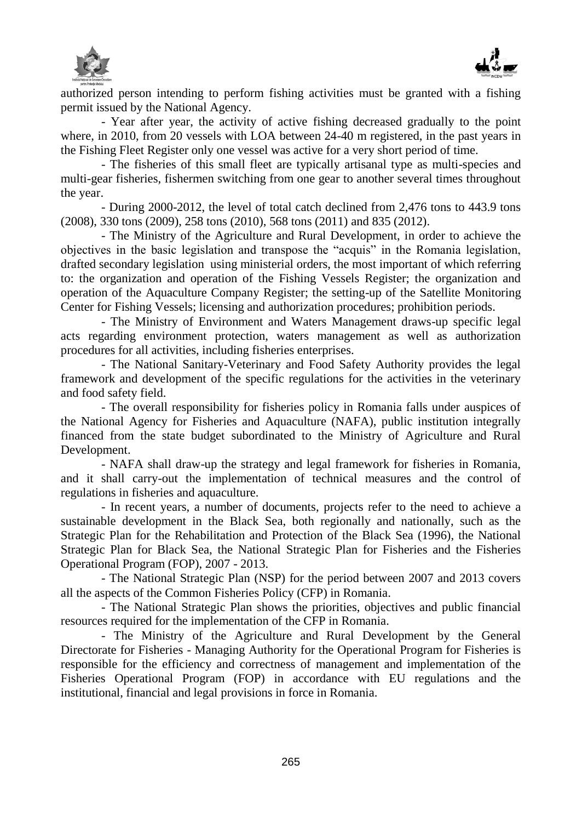



authorized person intending to perform fishing activities must be granted with a fishing permit issued by the National Agency.

- Year after year, the activity of active fishing decreased gradually to the point where, in 2010, from 20 vessels with LOA between 24-40 m registered, in the past years in the Fishing Fleet Register only one vessel was active for a very short period of time.

- The fisheries of this small fleet are typically artisanal type as multi-species and multi-gear fisheries, fishermen switching from one gear to another several times throughout the year.

- During 2000-2012, the level of total catch declined from 2,476 tons to 443.9 tons (2008), 330 tons (2009), 258 tons (2010), 568 tons (2011) and 835 (2012).

- The Ministry of the Agriculture and Rural Development, in order to achieve the objectives in the basic legislation and transpose the "acquis" in the Romania legislation, drafted secondary legislation using ministerial orders, the most important of which referring to: the organization and operation of the Fishing Vessels Register; the organization and operation of the Aquaculture Company Register; the setting-up of the Satellite Monitoring Center for Fishing Vessels; licensing and authorization procedures; prohibition periods.

- The Ministry of Environment and Waters Management draws-up specific legal acts regarding environment protection, waters management as well as authorization procedures for all activities, including fisheries enterprises.

- The National Sanitary-Veterinary and Food Safety Authority provides the legal framework and development of the specific regulations for the activities in the veterinary and food safety field.

- The overall responsibility for fisheries policy in Romania falls under auspices of the National Agency for Fisheries and Aquaculture (NAFA), public institution integrally financed from the state budget subordinated to the Ministry of Agriculture and Rural Development.

- NAFA shall draw-up the strategy and legal framework for fisheries in Romania, and it shall carry-out the implementation of technical measures and the control of regulations in fisheries and aquaculture.

- In recent years, a number of documents, projects refer to the need to achieve a sustainable development in the Black Sea, both regionally and nationally, such as the Strategic Plan for the Rehabilitation and Protection of the Black Sea (1996), the National Strategic Plan for Black Sea, the National Strategic Plan for Fisheries and the Fisheries Operational Program (FOP), 2007 - 2013.

- The National Strategic Plan (NSP) for the period between 2007 and 2013 covers all the aspects of the Common Fisheries Policy (CFP) in Romania.

- The National Strategic Plan shows the priorities, objectives and public financial resources required for the implementation of the CFP in Romania.

- The Ministry of the Agriculture and Rural Development by the General Directorate for Fisheries - Managing Authority for the Operational Program for Fisheries is responsible for the efficiency and correctness of management and implementation of the Fisheries Operational Program (FOP) in accordance with EU regulations and the institutional, financial and legal provisions in force in Romania.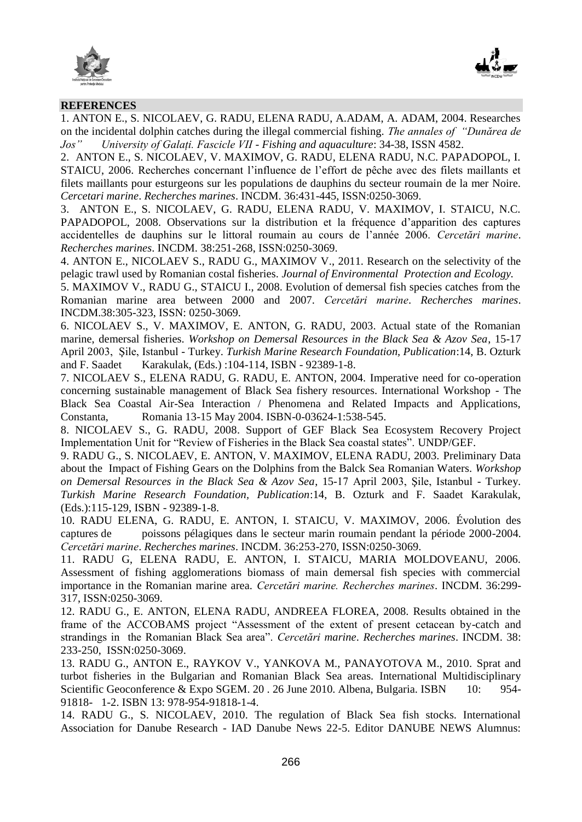



#### **REFERENCES**

1. ANTON E., S. NICOLAEV, G. RADU, ELENA RADU, A.ADAM, A. ADAM, 2004. Researches on the incidental dolphin catches during the illegal commercial fishing. *The annales of "Dunărea de Jos" University of Galați. Fascicle VII - Fishing and aquaculture*: 34-38, ISSN 4582.

2. ANTON E., S. NICOLAEV, V. MAXIMOV, G. RADU, ELENA RADU, N.C. PAPADOPOL, I. STAICU, 2006. Recherches concernant l'influence de l'effort de pêche avec des filets maillants et filets maillants pour esturgeons sur les populations de dauphins du secteur roumain de la mer Noire. *Cercetari marine*. *Recherches marines*. INCDM. 36:431-445, ISSN:0250-3069.

3. ANTON E., S. NICOLAEV, G. RADU, ELENA RADU, V. MAXIMOV, I. STAICU, N.C. PAPADOPOL, 2008. Observations sur la distribution et la fréquence d'apparition des captures accidentelles de dauphins sur le littoral roumain au cours de l'année 2006. *Cercetări marine*. *Recherches marines*. INCDM. 38:251-268, ISSN:0250-3069.

4. ANTON E., NICOLAEV S., RADU G., MAXIMOV V., 2011. Research on the selectivity of the pelagic trawl used by Romanian costal fisheries. *Journal of Environmental Protection and Ecology.*

5. MAXIMOV V., RADU G., STAICU I., 2008. Evolution of demersal fish species catches from the Romanian marine area between 2000 and 2007. *Cercetări marine*. *Recherches marines*. INCDM.38:305-323, ISSN: 0250-3069.

6. NICOLAEV S., V. MAXIMOV, E. ANTON, G. RADU, 2003. Actual state of the Romanian marine, demersal fisheries. *Workshop on Demersal Resources in the Black Sea & Azov Sea*, 15-17 April 2003, Şile, Istanbul - Turkey. *Turkish Marine Research Foundation, Publication*:14, B. Ozturk and F. Saadet Karakulak, (Eds.) :104-114, ISBN - 92389-1-8.

7. NICOLAEV S., ELENA RADU, G. RADU, E. ANTON, 2004. Imperative need for co-operation concerning sustainable management of Black Sea fishery resources. International Workshop - The Black Sea Coastal Air-Sea Interaction / Phenomena and Related Impacts and Applications, Constanta, Romania 13-15 May 2004. ISBN-0-03624-1:538-545.

8. NICOLAEV S., G. RADU, 2008. Support of GEF Black Sea Ecosystem Recovery Project Implementation Unit for "Review of Fisheries in the Black Sea coastal states". UNDP/GEF.

9. RADU G., S. NICOLAEV, E. ANTON, V. MAXIMOV, ELENA RADU, 2003. Preliminary Data about the Impact of Fishing Gears on the Dolphins from the Balck Sea Romanian Waters. *Workshop on Demersal Resources in the Black Sea & Azov Sea*, 15-17 April 2003, Şile, Istanbul - Turkey. *Turkish Marine Research Foundation, Publication*:14, B. Ozturk and F. Saadet Karakulak, (Eds.):115-129, ISBN - 92389-1-8.

10. RADU ELENA, G. RADU, E. ANTON, I. STAICU, V. MAXIMOV, 2006. Évolution des captures de poissons pélagiques dans le secteur marin roumain pendant la période 2000-2004. *Cercetări marine*. *Recherches marines*. INCDM. 36:253-270, ISSN:0250-3069.

11. RADU G, ELENA RADU, E. ANTON, I. STAICU, MARIA MOLDOVEANU, 2006. Assessment of fishing agglomerations biomass of main demersal fish species with commercial importance in the Romanian marine area. *Cercetări marine. Recherches marines*. INCDM. 36:299- 317, ISSN:0250-3069.

12. RADU G., E. ANTON, ELENA RADU, ANDREEA FLOREA, 2008. Results obtained in the frame of the ACCOBAMS project "Assessment of the extent of present cetacean by-catch and strandings in the Romanian Black Sea area". *Cercetări marine*. *Recherches marines*. INCDM. 38: 233-250, ISSN:0250-3069.

13. RADU G., ANTON E., RAYKOV V., YANKOVA M., PANAYOTOVA M., 2010. Sprat and turbot fisheries in the Bulgarian and Romanian Black Sea areas. International Multidisciplinary Scientific Geoconference & Expo SGEM. 20. 26 June 2010. Albena, Bulgaria. ISBN 10: 954-91818- 1-2. ISBN 13: 978-954-91818-1-4.

14. RADU G., S. NICOLAEV, 2010. The regulation of Black Sea fish stocks. International Association for Danube Research - IAD Danube News 22-5. Editor DANUBE NEWS Alumnus: